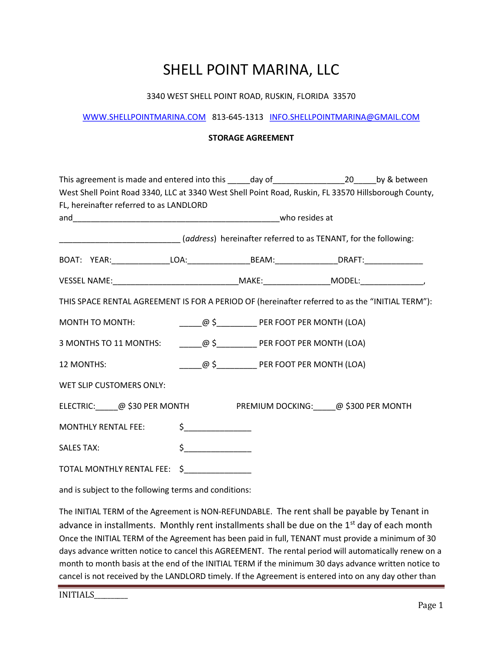#### 3340 WEST SHELL POINT ROAD, RUSKIN, FLORIDA 33570

#### WWW.SHELLPOINTMARINA.COM 813-645-1313 INFO.SHELLPOINTMARINA@GMAIL.COM

#### STORAGE AGREEMENT

| This agreement is made and entered into this _____day of ________________________________by & between |                                    |                                                    |  |
|-------------------------------------------------------------------------------------------------------|------------------------------------|----------------------------------------------------|--|
| West Shell Point Road 3340, LLC at 3340 West Shell Point Road, Ruskin, FL 33570 Hillsborough County,  |                                    |                                                    |  |
| FL, hereinafter referred to as LANDLORD                                                               |                                    |                                                    |  |
|                                                                                                       |                                    |                                                    |  |
| [address] hereinafter referred to as TENANT, for the following:                                       |                                    |                                                    |  |
|                                                                                                       |                                    |                                                    |  |
| VESSEL NAME:___________________________________MAKE:______________________MODEL:____________________  |                                    |                                                    |  |
| THIS SPACE RENTAL AGREEMENT IS FOR A PERIOD OF (hereinafter referred to as the "INITIAL TERM"):       |                                    |                                                    |  |
|                                                                                                       |                                    |                                                    |  |
|                                                                                                       |                                    |                                                    |  |
| 12 MONTHS:                                                                                            |                                    | ________@ \$_____________ PER FOOT PER MONTH (LOA) |  |
| WET SLIP CUSTOMERS ONLY:                                                                              |                                    |                                                    |  |
| ELECTRIC: @ \$30 PER MONTH PREMIUM DOCKING: @ \$300 PER MONTH                                         |                                    |                                                    |  |
| MONTHLY RENTAL FEE:                                                                                   | $\sharp$ $\Box$                    |                                                    |  |
| <b>SALES TAX:</b>                                                                                     | $\begin{array}{c} \xi \end{array}$ |                                                    |  |
| TOTAL MONTHLY RENTAL FEE: \$_______________                                                           |                                    |                                                    |  |

and is subject to the following terms and conditions:

The INITIAL TERM of the Agreement is NON-REFUNDABLE. The rent shall be payable by Tenant in advance in installments. Monthly rent installments shall be due on the  $1<sup>st</sup>$  day of each month Once the INITIAL TERM of the Agreement has been paid in full, TENANT must provide a minimum of 30 days advance written notice to cancel this AGREEMENT. The rental period will automatically renew on a month to month basis at the end of the INITIAL TERM if the minimum 30 days advance written notice to cancel is not received by the LANDLORD timely. If the Agreement is entered into on any day other than

INITIALS\_\_\_\_\_\_\_\_\_\_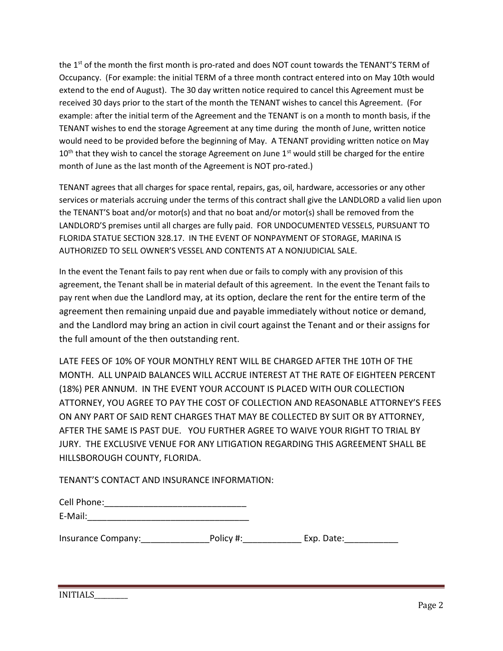the 1<sup>st</sup> of the month the first month is pro-rated and does NOT count towards the TENANT'S TERM of Occupancy. (For example: the initial TERM of a three month contract entered into on May 10th would extend to the end of August). The 30 day written notice required to cancel this Agreement must be received 30 days prior to the start of the month the TENANT wishes to cancel this Agreement. (For example: after the initial term of the Agreement and the TENANT is on a month to month basis, if the TENANT wishes to end the storage Agreement at any time during the month of June, written notice would need to be provided before the beginning of May. A TENANT providing written notice on May  $10<sup>th</sup>$  that they wish to cancel the storage Agreement on June  $1<sup>st</sup>$  would still be charged for the entire month of June as the last month of the Agreement is NOT pro-rated.)

TENANT agrees that all charges for space rental, repairs, gas, oil, hardware, accessories or any other services or materials accruing under the terms of this contract shall give the LANDLORD a valid lien upon the TENANT'S boat and/or motor(s) and that no boat and/or motor(s) shall be removed from the LANDLORD'S premises until all charges are fully paid. FOR UNDOCUMENTED VESSELS, PURSUANT TO FLORIDA STATUE SECTION 328.17. IN THE EVENT OF NONPAYMENT OF STORAGE, MARINA IS AUTHORIZED TO SELL OWNER'S VESSEL AND CONTENTS AT A NONJUDICIAL SALE.

In the event the Tenant fails to pay rent when due or fails to comply with any provision of this agreement, the Tenant shall be in material default of this agreement. In the event the Tenant fails to pay rent when due the Landlord may, at its option, declare the rent for the entire term of the agreement then remaining unpaid due and payable immediately without notice or demand, and the Landlord may bring an action in civil court against the Tenant and or their assigns for the full amount of the then outstanding rent.

LATE FEES OF 10% OF YOUR MONTHLY RENT WILL BE CHARGED AFTER THE 10TH OF THE MONTH. ALL UNPAID BALANCES WILL ACCRUE INTEREST AT THE RATE OF EIGHTEEN PERCENT (18%) PER ANNUM. IN THE EVENT YOUR ACCOUNT IS PLACED WITH OUR COLLECTION ATTORNEY, YOU AGREE TO PAY THE COST OF COLLECTION AND REASONABLE ATTORNEY'S FEES ON ANY PART OF SAID RENT CHARGES THAT MAY BE COLLECTED BY SUIT OR BY ATTORNEY, AFTER THE SAME IS PAST DUE. YOU FURTHER AGREE TO WAIVE YOUR RIGHT TO TRIAL BY JURY. THE EXCLUSIVE VENUE FOR ANY LITIGATION REGARDING THIS AGREEMENT SHALL BE HILLSBOROUGH COUNTY, FLORIDA.

TENANT'S CONTACT AND INSURANCE INFORMATION:

| Cell Phone: |  |  |
|-------------|--|--|
|             |  |  |

| E-Mail: |  |  |  |  |
|---------|--|--|--|--|
|         |  |  |  |  |

Insurance Company: The Policy #: The Policy #: Exp. Date: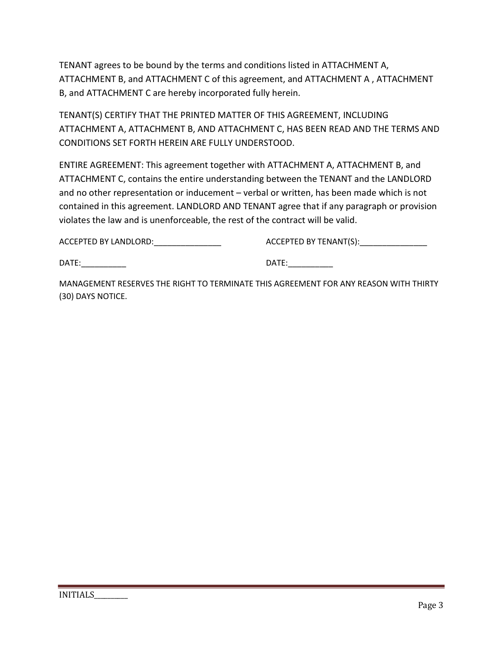TENANT agrees to be bound by the terms and conditions listed in ATTACHMENT A, ATTACHMENT B, and ATTACHMENT C of this agreement, and ATTACHMENT A , ATTACHMENT B, and ATTACHMENT C are hereby incorporated fully herein.

TENANT(S) CERTIFY THAT THE PRINTED MATTER OF THIS AGREEMENT, INCLUDING ATTACHMENT A, ATTACHMENT B, AND ATTACHMENT C, HAS BEEN READ AND THE TERMS AND CONDITIONS SET FORTH HEREIN ARE FULLY UNDERSTOOD.

ENTIRE AGREEMENT: This agreement together with ATTACHMENT A, ATTACHMENT B, and ATTACHMENT C, contains the entire understanding between the TENANT and the LANDLORD and no other representation or inducement – verbal or written, has been made which is not contained in this agreement. LANDLORD AND TENANT agree that if any paragraph or provision violates the law and is unenforceable, the rest of the contract will be valid.

ACCEPTED BY LANDLORD:\_\_\_\_\_\_\_\_\_\_\_\_\_\_\_ ACCEPTED BY TENANT(S):\_\_\_\_\_\_\_\_\_\_\_\_\_\_\_

DATE:\_\_\_\_\_\_\_\_\_\_ DATE:\_\_\_\_\_\_\_\_\_\_

MANAGEMENT RESERVES THE RIGHT TO TERMINATE THIS AGREEMENT FOR ANY REASON WITH THIRTY (30) DAYS NOTICE.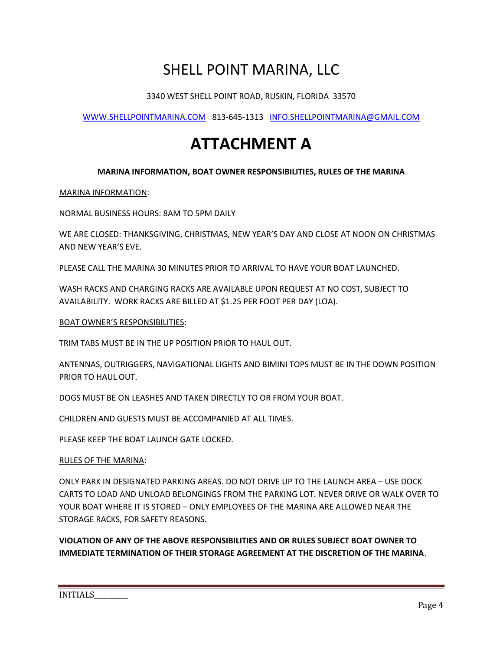3340 WEST SHELL POINT ROAD, RUSKIN, FLORIDA 33570

WWW.SHELLPOINTMARINA.COM 813-645-1313 INFO.SHELLPOINTMARINA@GMAIL.COM

# ATTACHMENT A

### MARINA INFORMATION, BOAT OWNER RESPONSIBILITIES, RULES OF THE MARINA

#### MARINA INFORMATION:

NORMAL BUSINESS HOURS: 8AM TO 5PM DAILY

WE ARE CLOSED: THANKSGIVING, CHRISTMAS, NEW YEAR'S DAY AND CLOSE AT NOON ON CHRISTMAS AND NEW YEAR'S EVE.

PLEASE CALL THE MARINA 30 MINUTES PRIOR TO ARRIVAL TO HAVE YOUR BOAT LAUNCHED.

WASH RACKS AND CHARGING RACKS ARE AVAILABLE UPON REQUEST AT NO COST, SUBJECT TO AVAILABILITY. WORK RACKS ARE BILLED AT \$1.25 PER FOOT PER DAY (LOA).

#### BOAT OWNER'S RESPONSIBILITIES:

TRIM TABS MUST BE IN THE UP POSITION PRIOR TO HAUL OUT.

ANTENNAS, OUTRIGGERS, NAVIGATIONAL LIGHTS AND BIMINI TOPS MUST BE IN THE DOWN POSITION PRIOR TO HAUL OUT.

DOGS MUST BE ON LEASHES AND TAKEN DIRECTLY TO OR FROM YOUR BOAT.

CHILDREN AND GUESTS MUST BE ACCOMPANIED AT ALL TIMES.

PLEASE KEEP THE BOAT LAUNCH GATE LOCKED.

#### RULES OF THE MARINA:

ONLY PARK IN DESIGNATED PARKING AREAS. DO NOT DRIVE UP TO THE LAUNCH AREA – USE DOCK CARTS TO LOAD AND UNLOAD BELONGINGS FROM THE PARKING LOT. NEVER DRIVE OR WALK OVER TO YOUR BOAT WHERE IT IS STORED – ONLY EMPLOYEES OF THE MARINA ARE ALLOWED NEAR THE STORAGE RACKS, FOR SAFETY REASONS.

VIOLATION OF ANY OF THE ABOVE RESPONSIBILITIES AND OR RULES SUBJECT BOAT OWNER TO IMMEDIATE TERMINATION OF THEIR STORAGE AGREEMENT AT THE DISCRETION OF THE MARINA.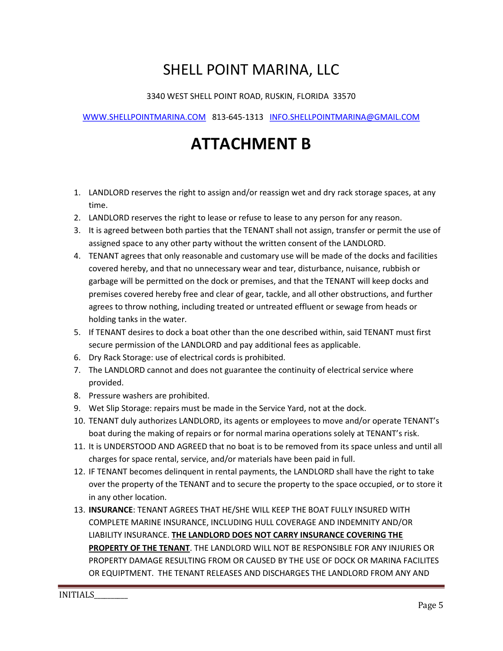### 3340 WEST SHELL POINT ROAD, RUSKIN, FLORIDA 33570

### WWW.SHELLPOINTMARINA.COM 813-645-1313 INFO.SHELLPOINTMARINA@GMAIL.COM

# ATTACHMENT B

- 1. LANDLORD reserves the right to assign and/or reassign wet and dry rack storage spaces, at any time.
- 2. LANDLORD reserves the right to lease or refuse to lease to any person for any reason.
- 3. It is agreed between both parties that the TENANT shall not assign, transfer or permit the use of assigned space to any other party without the written consent of the LANDLORD.
- 4. TENANT agrees that only reasonable and customary use will be made of the docks and facilities covered hereby, and that no unnecessary wear and tear, disturbance, nuisance, rubbish or garbage will be permitted on the dock or premises, and that the TENANT will keep docks and premises covered hereby free and clear of gear, tackle, and all other obstructions, and further agrees to throw nothing, including treated or untreated effluent or sewage from heads or holding tanks in the water.
- 5. If TENANT desires to dock a boat other than the one described within, said TENANT must first secure permission of the LANDLORD and pay additional fees as applicable.
- 6. Dry Rack Storage: use of electrical cords is prohibited.
- 7. The LANDLORD cannot and does not guarantee the continuity of electrical service where provided.
- 8. Pressure washers are prohibited.
- 9. Wet Slip Storage: repairs must be made in the Service Yard, not at the dock.
- 10. TENANT duly authorizes LANDLORD, its agents or employees to move and/or operate TENANT's boat during the making of repairs or for normal marina operations solely at TENANT's risk.
- 11. It is UNDERSTOOD AND AGREED that no boat is to be removed from its space unless and until all charges for space rental, service, and/or materials have been paid in full.
- 12. IF TENANT becomes delinquent in rental payments, the LANDLORD shall have the right to take over the property of the TENANT and to secure the property to the space occupied, or to store it in any other location.
- 13. INSURANCE: TENANT AGREES THAT HE/SHE WILL KEEP THE BOAT FULLY INSURED WITH COMPLETE MARINE INSURANCE, INCLUDING HULL COVERAGE AND INDEMNITY AND/OR LIABILITY INSURANCE. THE LANDLORD DOES NOT CARRY INSURANCE COVERING THE PROPERTY OF THE TENANT. THE LANDLORD WILL NOT BE RESPONSIBLE FOR ANY INJURIES OR PROPERTY DAMAGE RESULTING FROM OR CAUSED BY THE USE OF DOCK OR MARINA FACILITES OR EQUIPTMENT. THE TENANT RELEASES AND DISCHARGES THE LANDLORD FROM ANY AND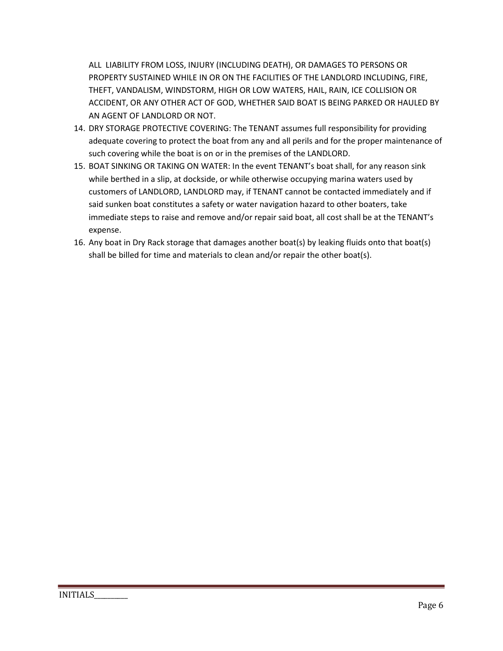ALL LIABILITY FROM LOSS, INJURY (INCLUDING DEATH), OR DAMAGES TO PERSONS OR PROPERTY SUSTAINED WHILE IN OR ON THE FACILITIES OF THE LANDLORD INCLUDING, FIRE, THEFT, VANDALISM, WINDSTORM, HIGH OR LOW WATERS, HAIL, RAIN, ICE COLLISION OR ACCIDENT, OR ANY OTHER ACT OF GOD, WHETHER SAID BOAT IS BEING PARKED OR HAULED BY AN AGENT OF LANDLORD OR NOT.

- 14. DRY STORAGE PROTECTIVE COVERING: The TENANT assumes full responsibility for providing adequate covering to protect the boat from any and all perils and for the proper maintenance of such covering while the boat is on or in the premises of the LANDLORD.
- 15. BOAT SINKING OR TAKING ON WATER: In the event TENANT's boat shall, for any reason sink while berthed in a slip, at dockside, or while otherwise occupying marina waters used by customers of LANDLORD, LANDLORD may, if TENANT cannot be contacted immediately and if said sunken boat constitutes a safety or water navigation hazard to other boaters, take immediate steps to raise and remove and/or repair said boat, all cost shall be at the TENANT's expense.
- 16. Any boat in Dry Rack storage that damages another boat(s) by leaking fluids onto that boat(s) shall be billed for time and materials to clean and/or repair the other boat(s).